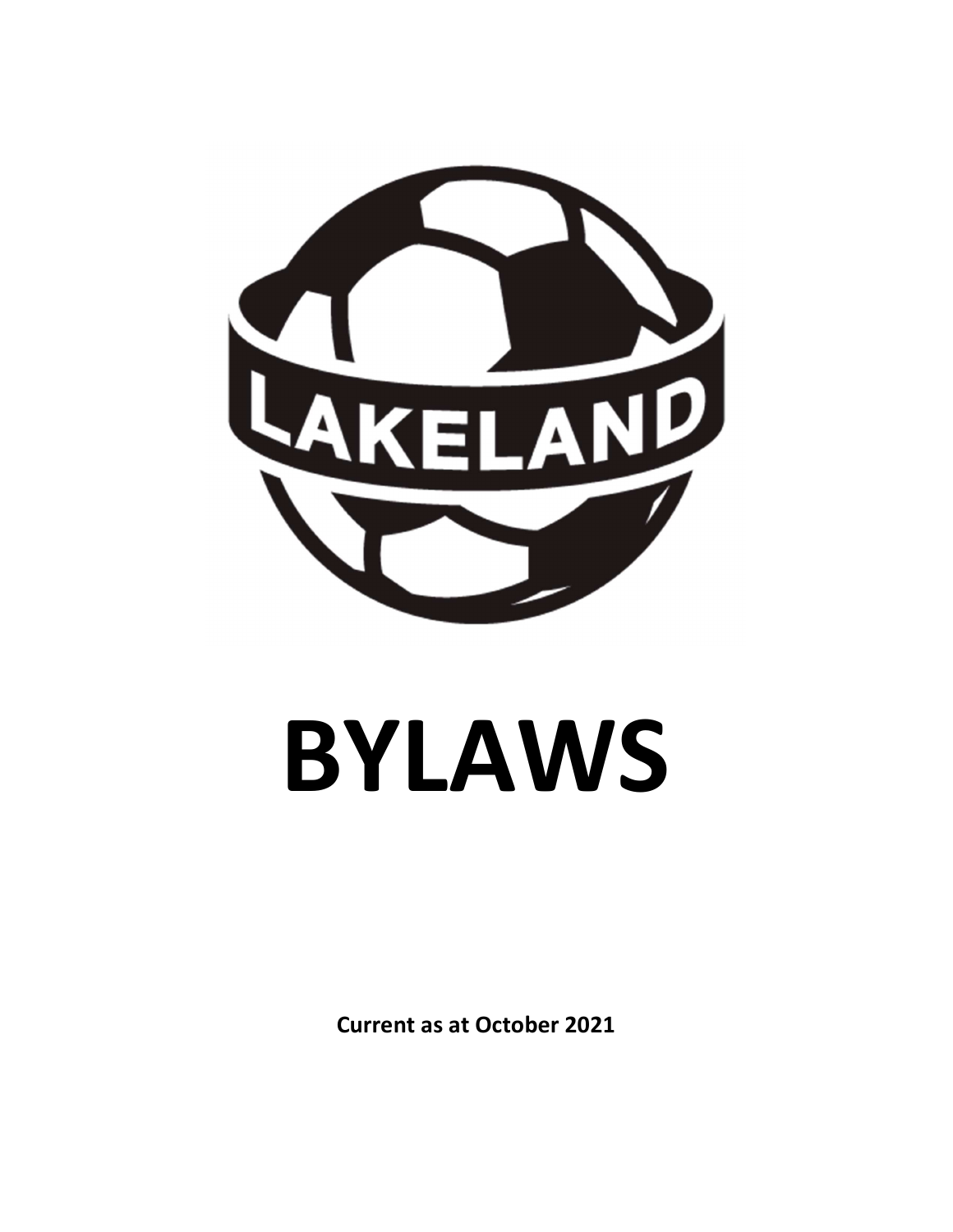

# BYLAWS

Current as at October 2021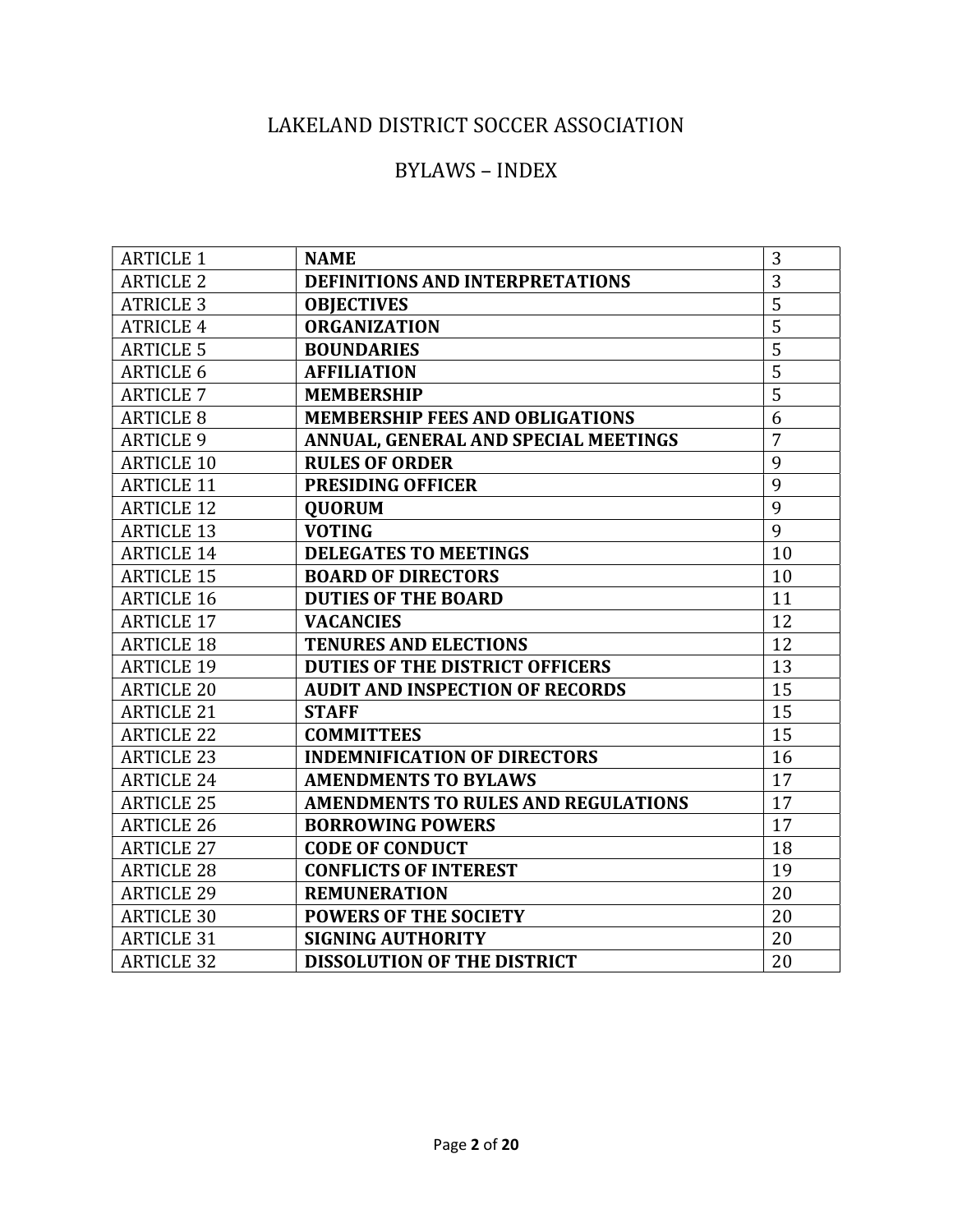# LAKELAND DISTRICT SOCCER ASSOCIATION

# BYLAWS – INDEX

| <b>ARTICLE 1</b>  | <b>NAME</b>                                | 3              |
|-------------------|--------------------------------------------|----------------|
| <b>ARTICLE 2</b>  | <b>DEFINITIONS AND INTERPRETATIONS</b>     | 3              |
| <b>ATRICLE 3</b>  | <b>OBJECTIVES</b>                          | 5              |
| <b>ATRICLE 4</b>  | <b>ORGANIZATION</b>                        | $\overline{5}$ |
| <b>ARTICLE 5</b>  | <b>BOUNDARIES</b>                          | 5              |
| <b>ARTICLE 6</b>  | <b>AFFILIATION</b>                         | 5              |
| <b>ARTICLE 7</b>  | <b>MEMBERSHIP</b>                          | 5              |
| <b>ARTICLE 8</b>  | <b>MEMBERSHIP FEES AND OBLIGATIONS</b>     | 6              |
| <b>ARTICLE 9</b>  | ANNUAL, GENERAL AND SPECIAL MEETINGS       | 7              |
| <b>ARTICLE 10</b> | <b>RULES OF ORDER</b>                      | 9              |
| <b>ARTICLE 11</b> | <b>PRESIDING OFFICER</b>                   | 9              |
| <b>ARTICLE 12</b> | <b>QUORUM</b>                              | 9              |
| <b>ARTICLE 13</b> | <b>VOTING</b>                              | 9              |
| <b>ARTICLE 14</b> | <b>DELEGATES TO MEETINGS</b>               | 10             |
| <b>ARTICLE 15</b> | <b>BOARD OF DIRECTORS</b>                  | 10             |
| <b>ARTICLE 16</b> | <b>DUTIES OF THE BOARD</b>                 | 11             |
| <b>ARTICLE 17</b> | <b>VACANCIES</b>                           | 12             |
| <b>ARTICLE 18</b> | <b>TENURES AND ELECTIONS</b>               | 12             |
| <b>ARTICLE 19</b> | <b>DUTIES OF THE DISTRICT OFFICERS</b>     | 13             |
| <b>ARTICLE 20</b> | <b>AUDIT AND INSPECTION OF RECORDS</b>     | 15             |
| <b>ARTICLE 21</b> | <b>STAFF</b>                               | 15             |
| <b>ARTICLE 22</b> | <b>COMMITTEES</b>                          | 15             |
| <b>ARTICLE 23</b> | <b>INDEMNIFICATION OF DIRECTORS</b>        | 16             |
| <b>ARTICLE 24</b> | <b>AMENDMENTS TO BYLAWS</b>                | 17             |
| <b>ARTICLE 25</b> | <b>AMENDMENTS TO RULES AND REGULATIONS</b> | 17             |
| <b>ARTICLE 26</b> | <b>BORROWING POWERS</b>                    | 17             |
| <b>ARTICLE 27</b> | <b>CODE OF CONDUCT</b>                     | 18             |
| <b>ARTICLE 28</b> | <b>CONFLICTS OF INTEREST</b>               | 19             |
| <b>ARTICLE 29</b> | <b>REMUNERATION</b>                        | 20             |
| <b>ARTICLE 30</b> | <b>POWERS OF THE SOCIETY</b>               | 20             |
| <b>ARTICLE 31</b> | <b>SIGNING AUTHORITY</b>                   | 20             |
| <b>ARTICLE 32</b> | <b>DISSOLUTION OF THE DISTRICT</b>         | 20             |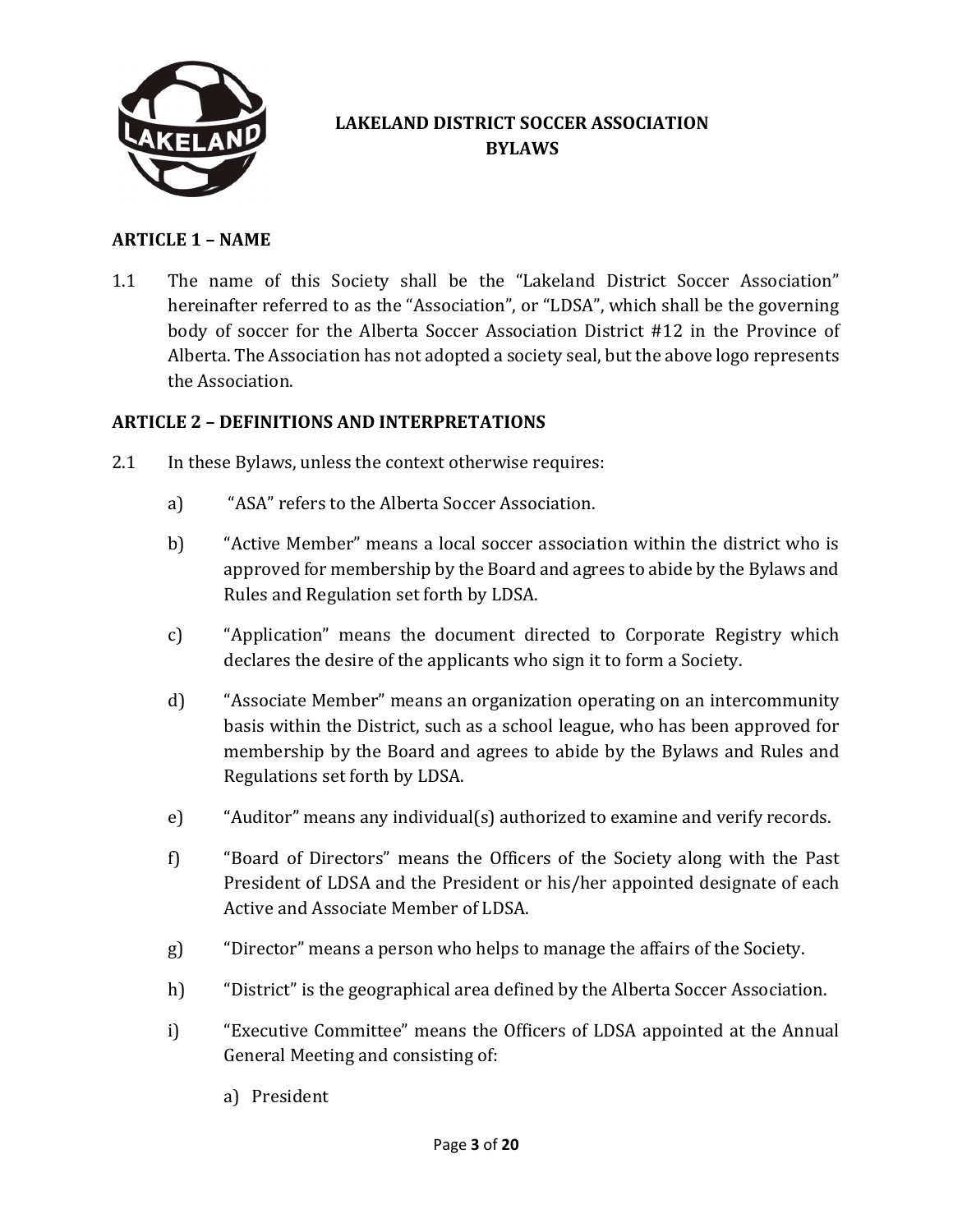

# LAKELAND DISTRICT SOCCER ASSOCIATION BYLAWS

#### ARTICLE 1 – NAME

1.1 The name of this Society shall be the "Lakeland District Soccer Association" hereinafter referred to as the "Association", or "LDSA", which shall be the governing body of soccer for the Alberta Soccer Association District #12 in the Province of Alberta. The Association has not adopted a society seal, but the above logo represents the Association.

#### ARTICLE 2 – DEFINITIONS AND INTERPRETATIONS

- 2.1 In these Bylaws, unless the context otherwise requires:
	- a) "ASA" refers to the Alberta Soccer Association.
	- b) "Active Member" means a local soccer association within the district who is approved for membership by the Board and agrees to abide by the Bylaws and Rules and Regulation set forth by LDSA.
	- c) "Application" means the document directed to Corporate Registry which declares the desire of the applicants who sign it to form a Society.
	- d) "Associate Member" means an organization operating on an intercommunity basis within the District, such as a school league, who has been approved for membership by the Board and agrees to abide by the Bylaws and Rules and Regulations set forth by LDSA.
	- e) "Auditor" means any individual(s) authorized to examine and verify records.
	- f) "Board of Directors" means the Officers of the Society along with the Past President of LDSA and the President or his/her appointed designate of each Active and Associate Member of LDSA.
	- g) "Director" means a person who helps to manage the affairs of the Society.
	- h) "District" is the geographical area defined by the Alberta Soccer Association.
	- i) "Executive Committee" means the Officers of LDSA appointed at the Annual General Meeting and consisting of:
		- a) President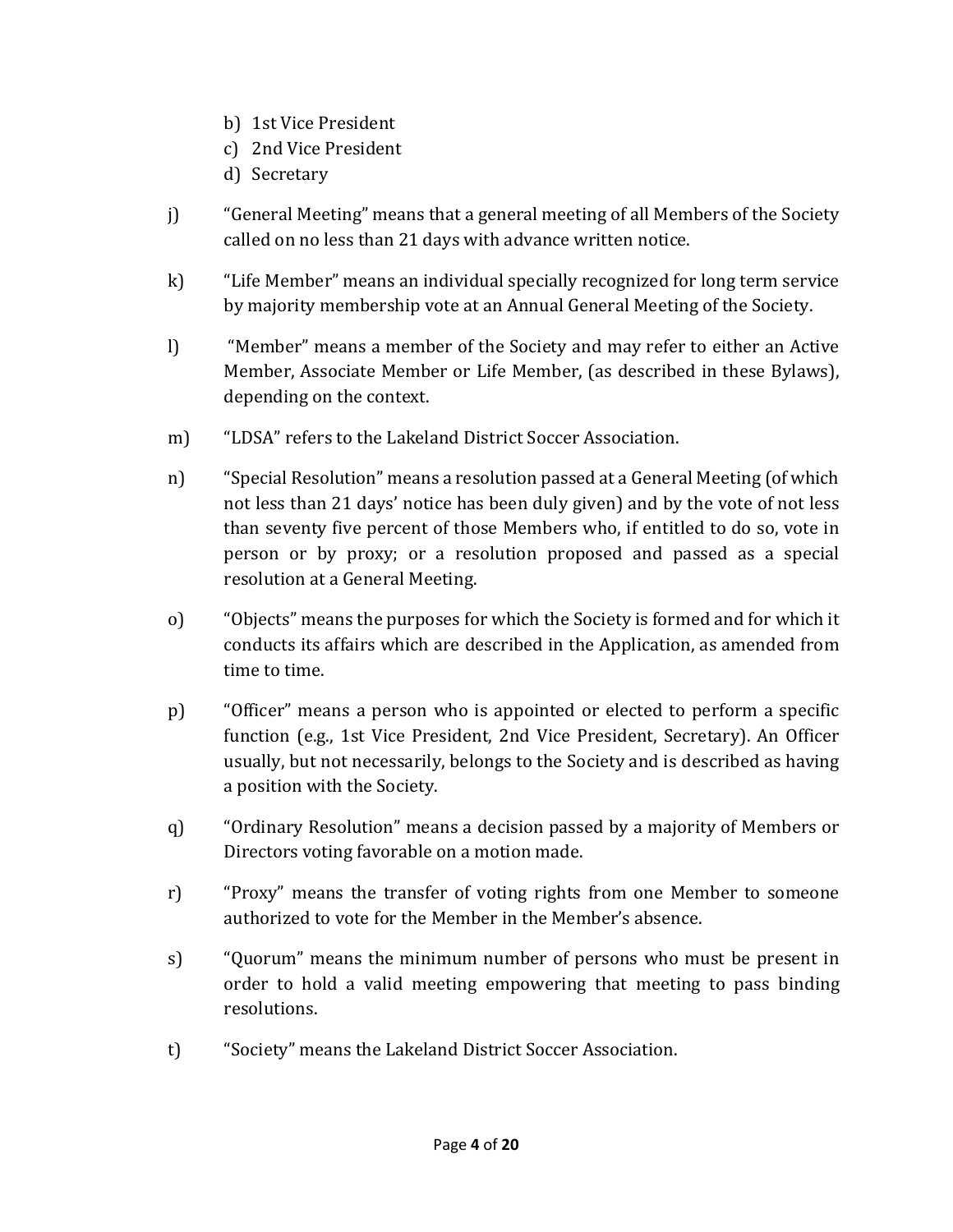- b) 1st Vice President
- c) 2nd Vice President
- d) Secretary
- j) "General Meeting" means that a general meeting of all Members of the Society called on no less than 21 days with advance written notice.
- k) "Life Member" means an individual specially recognized for long term service by majority membership vote at an Annual General Meeting of the Society.
- l) "Member" means a member of the Society and may refer to either an Active Member, Associate Member or Life Member, (as described in these Bylaws), depending on the context.
- m) "LDSA" refers to the Lakeland District Soccer Association.
- n) "Special Resolution" means a resolution passed at a General Meeting (of which not less than 21 days' notice has been duly given) and by the vote of not less than seventy five percent of those Members who, if entitled to do so, vote in person or by proxy; or a resolution proposed and passed as a special resolution at a General Meeting.
- o) "Objects" means the purposes for which the Society is formed and for which it conducts its affairs which are described in the Application, as amended from time to time.
- p) "Officer" means a person who is appointed or elected to perform a specific function (e.g., 1st Vice President, 2nd Vice President, Secretary). An Officer usually, but not necessarily, belongs to the Society and is described as having a position with the Society.
- q) "Ordinary Resolution" means a decision passed by a majority of Members or Directors voting favorable on a motion made.
- r) "Proxy" means the transfer of voting rights from one Member to someone authorized to vote for the Member in the Member's absence.
- s) "Quorum" means the minimum number of persons who must be present in order to hold a valid meeting empowering that meeting to pass binding resolutions.
- t) "Society" means the Lakeland District Soccer Association.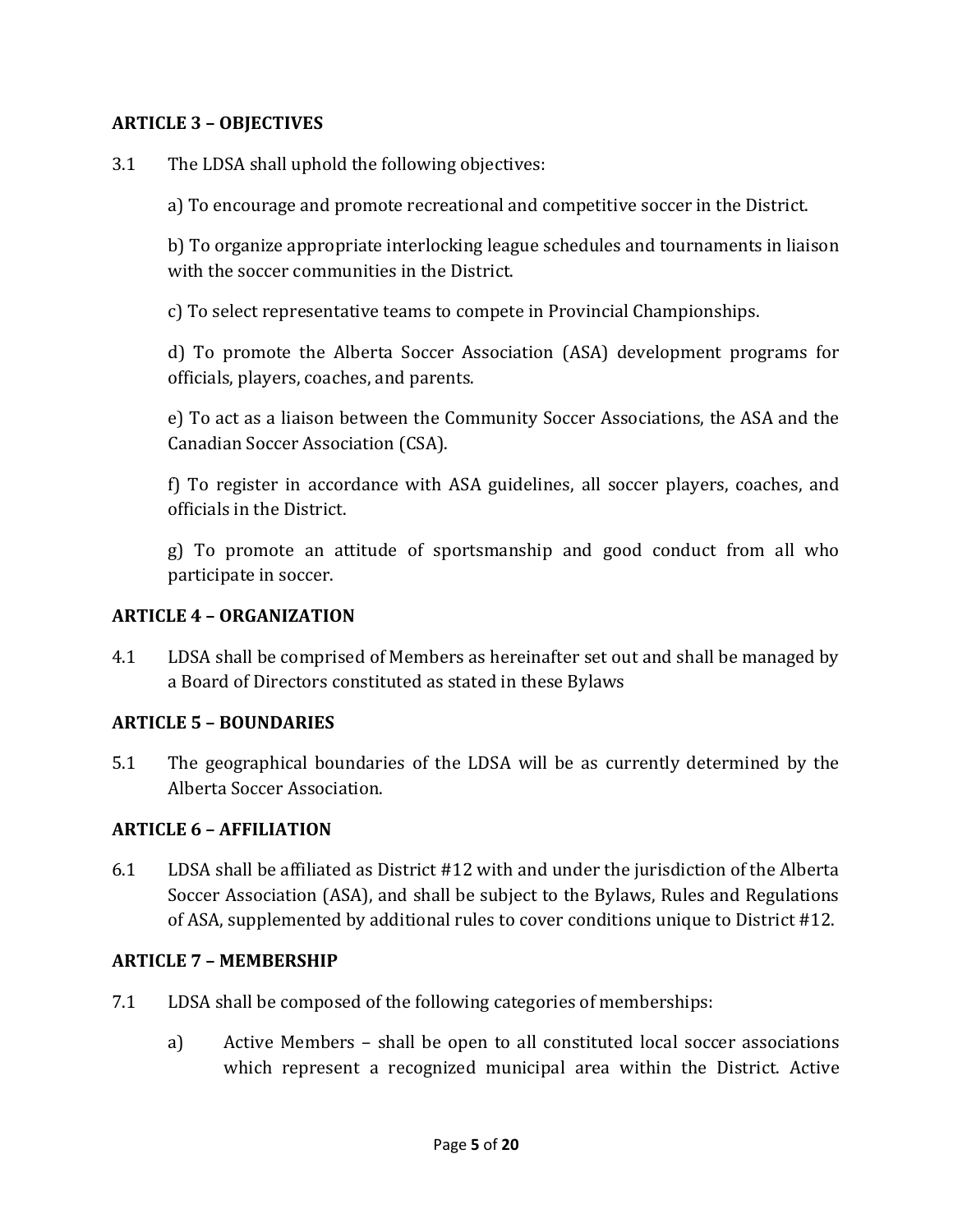#### ARTICLE 3 – OBJECTIVES

3.1 The LDSA shall uphold the following objectives:

a) To encourage and promote recreational and competitive soccer in the District.

b) To organize appropriate interlocking league schedules and tournaments in liaison with the soccer communities in the District.

c) To select representative teams to compete in Provincial Championships.

d) To promote the Alberta Soccer Association (ASA) development programs for officials, players, coaches, and parents.

e) To act as a liaison between the Community Soccer Associations, the ASA and the Canadian Soccer Association (CSA).

f) To register in accordance with ASA guidelines, all soccer players, coaches, and officials in the District.

g) To promote an attitude of sportsmanship and good conduct from all who participate in soccer.

#### ARTICLE 4 – ORGANIZATION

4.1 LDSA shall be comprised of Members as hereinafter set out and shall be managed by a Board of Directors constituted as stated in these Bylaws

#### ARTICLE 5 – BOUNDARIES

5.1 The geographical boundaries of the LDSA will be as currently determined by the Alberta Soccer Association.

#### ARTICLE 6 – AFFILIATION

6.1 LDSA shall be affiliated as District #12 with and under the jurisdiction of the Alberta Soccer Association (ASA), and shall be subject to the Bylaws, Rules and Regulations of ASA, supplemented by additional rules to cover conditions unique to District #12.

#### ARTICLE 7 – MEMBERSHIP

- 7.1 LDSA shall be composed of the following categories of memberships:
	- a) Active Members shall be open to all constituted local soccer associations which represent a recognized municipal area within the District. Active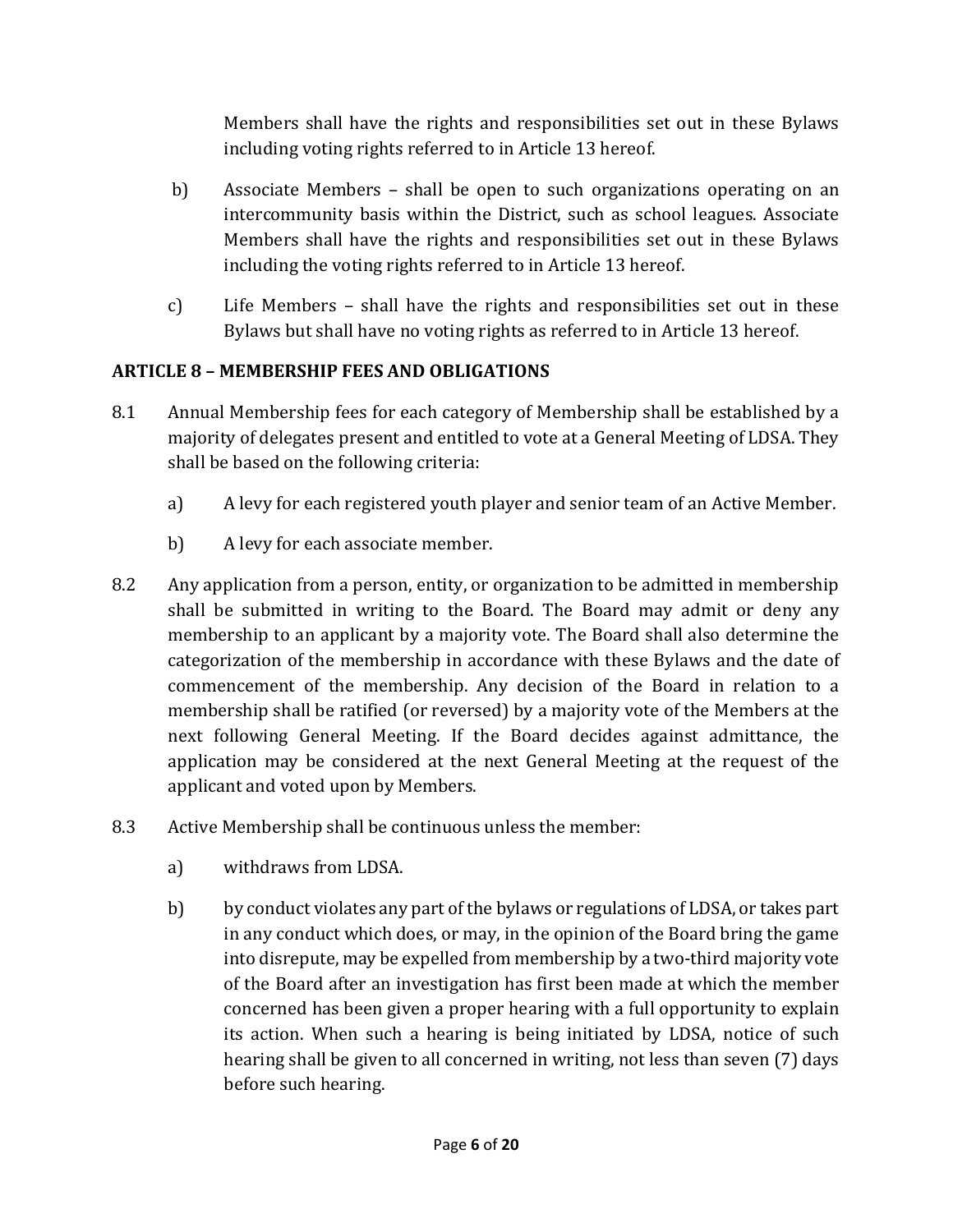Members shall have the rights and responsibilities set out in these Bylaws including voting rights referred to in Article 13 hereof.

- b) Associate Members shall be open to such organizations operating on an intercommunity basis within the District, such as school leagues. Associate Members shall have the rights and responsibilities set out in these Bylaws including the voting rights referred to in Article 13 hereof.
- c) Life Members shall have the rights and responsibilities set out in these Bylaws but shall have no voting rights as referred to in Article 13 hereof.

# ARTICLE 8 – MEMBERSHIP FEES AND OBLIGATIONS

- 8.1 Annual Membership fees for each category of Membership shall be established by a majority of delegates present and entitled to vote at a General Meeting of LDSA. They shall be based on the following criteria:
	- a) A levy for each registered youth player and senior team of an Active Member.
	- b) A levy for each associate member.
- 8.2 Any application from a person, entity, or organization to be admitted in membership shall be submitted in writing to the Board. The Board may admit or deny any membership to an applicant by a majority vote. The Board shall also determine the categorization of the membership in accordance with these Bylaws and the date of commencement of the membership. Any decision of the Board in relation to a membership shall be ratified (or reversed) by a majority vote of the Members at the next following General Meeting. If the Board decides against admittance, the application may be considered at the next General Meeting at the request of the applicant and voted upon by Members.
- 8.3 Active Membership shall be continuous unless the member:
	- a) withdraws from LDSA.
	- b) by conduct violates any part of the bylaws or regulations of LDSA, or takes part in any conduct which does, or may, in the opinion of the Board bring the game into disrepute, may be expelled from membership by a two-third majority vote of the Board after an investigation has first been made at which the member concerned has been given a proper hearing with a full opportunity to explain its action. When such a hearing is being initiated by LDSA, notice of such hearing shall be given to all concerned in writing, not less than seven (7) days before such hearing.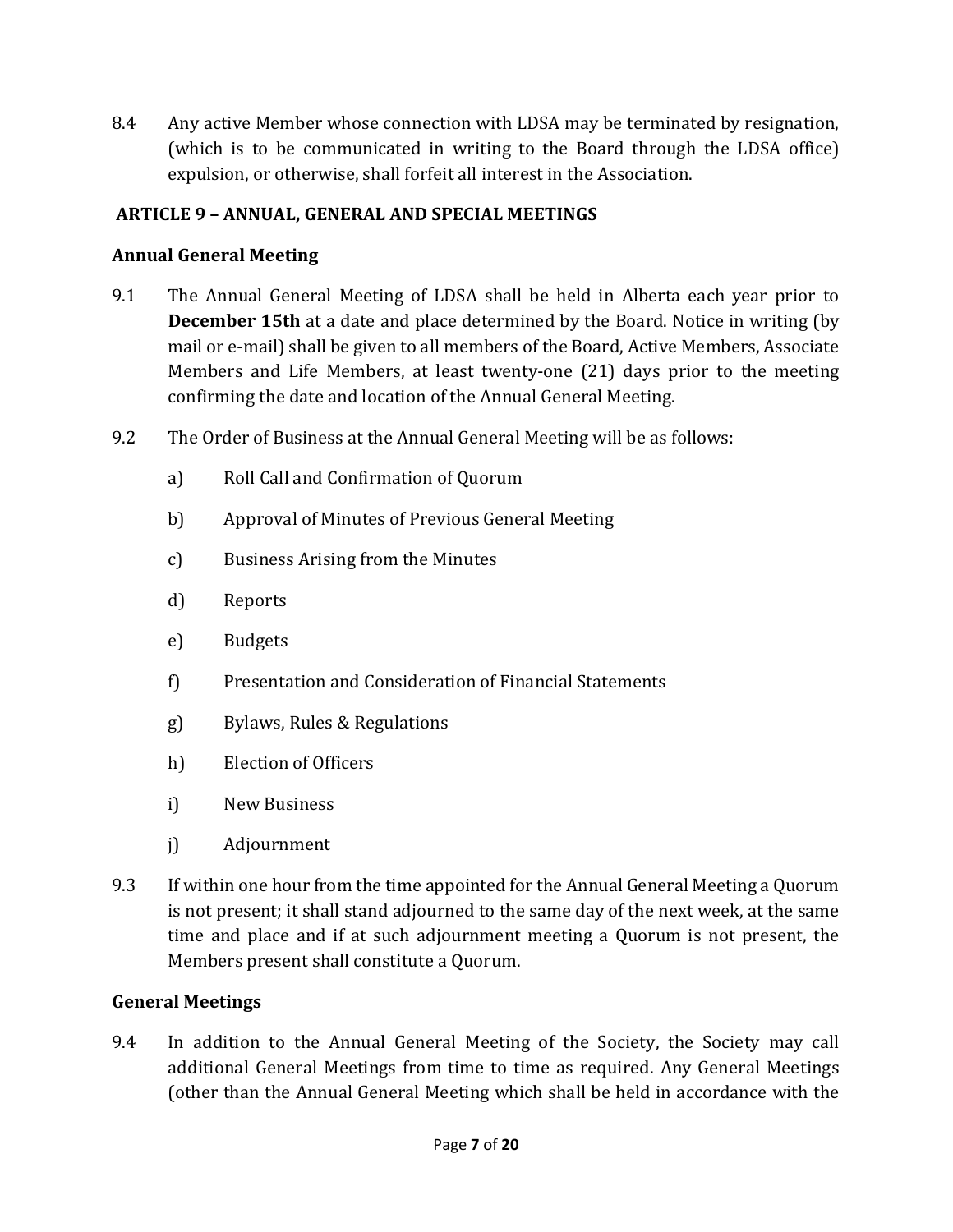8.4 Any active Member whose connection with LDSA may be terminated by resignation, (which is to be communicated in writing to the Board through the LDSA office) expulsion, or otherwise, shall forfeit all interest in the Association.

# ARTICLE 9 – ANNUAL, GENERAL AND SPECIAL MEETINGS

# Annual General Meeting

- 9.1 The Annual General Meeting of LDSA shall be held in Alberta each year prior to December 15th at a date and place determined by the Board. Notice in writing (by mail or e-mail) shall be given to all members of the Board, Active Members, Associate Members and Life Members, at least twenty-one (21) days prior to the meeting confirming the date and location of the Annual General Meeting.
- 9.2 The Order of Business at the Annual General Meeting will be as follows:
	- a) Roll Call and Confirmation of Quorum
	- b) Approval of Minutes of Previous General Meeting
	- c) Business Arising from the Minutes
	- d) Reports
	- e) Budgets
	- f) Presentation and Consideration of Financial Statements
	- g) Bylaws, Rules & Regulations
	- h) Election of Officers
	- i) New Business
	- j) Adjournment
- 9.3 If within one hour from the time appointed for the Annual General Meeting a Quorum is not present; it shall stand adjourned to the same day of the next week, at the same time and place and if at such adjournment meeting a Quorum is not present, the Members present shall constitute a Quorum.

#### General Meetings

9.4 In addition to the Annual General Meeting of the Society, the Society may call additional General Meetings from time to time as required. Any General Meetings (other than the Annual General Meeting which shall be held in accordance with the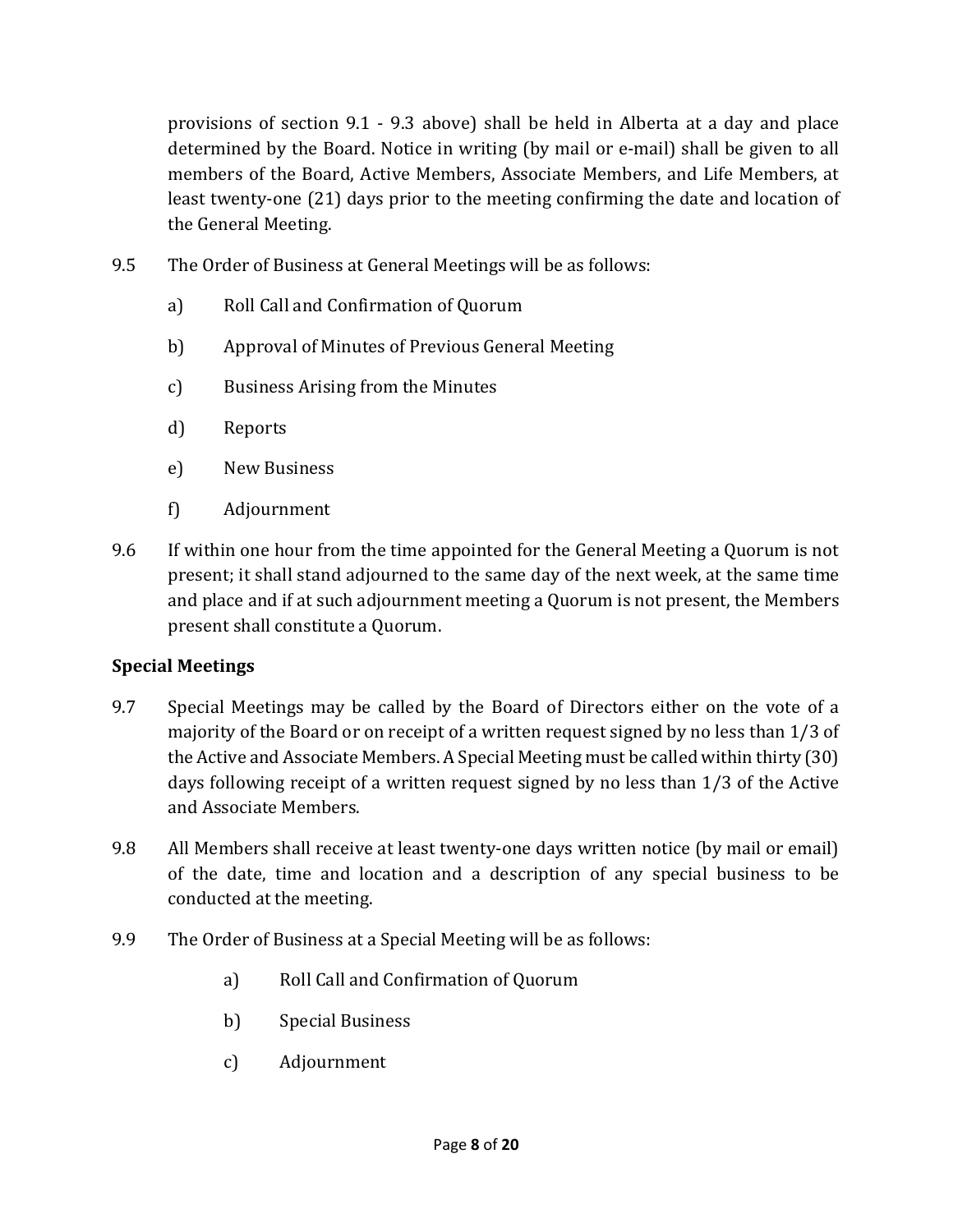provisions of section 9.1 - 9.3 above) shall be held in Alberta at a day and place determined by the Board. Notice in writing (by mail or e-mail) shall be given to all members of the Board, Active Members, Associate Members, and Life Members, at least twenty-one (21) days prior to the meeting confirming the date and location of the General Meeting.

- 9.5 The Order of Business at General Meetings will be as follows:
	- a) Roll Call and Confirmation of Quorum
	- b) Approval of Minutes of Previous General Meeting
	- c) Business Arising from the Minutes
	- d) Reports
	- e) New Business
	- f) Adjournment
- 9.6 If within one hour from the time appointed for the General Meeting a Quorum is not present; it shall stand adjourned to the same day of the next week, at the same time and place and if at such adjournment meeting a Quorum is not present, the Members present shall constitute a Quorum.

#### Special Meetings

- 9.7 Special Meetings may be called by the Board of Directors either on the vote of a majority of the Board or on receipt of a written request signed by no less than 1/3 of the Active and Associate Members. A Special Meeting must be called within thirty (30) days following receipt of a written request signed by no less than 1/3 of the Active and Associate Members.
- 9.8 All Members shall receive at least twenty-one days written notice (by mail or email) of the date, time and location and a description of any special business to be conducted at the meeting.
- 9.9 The Order of Business at a Special Meeting will be as follows:
	- a) Roll Call and Confirmation of Quorum
	- b) Special Business
	- c) Adjournment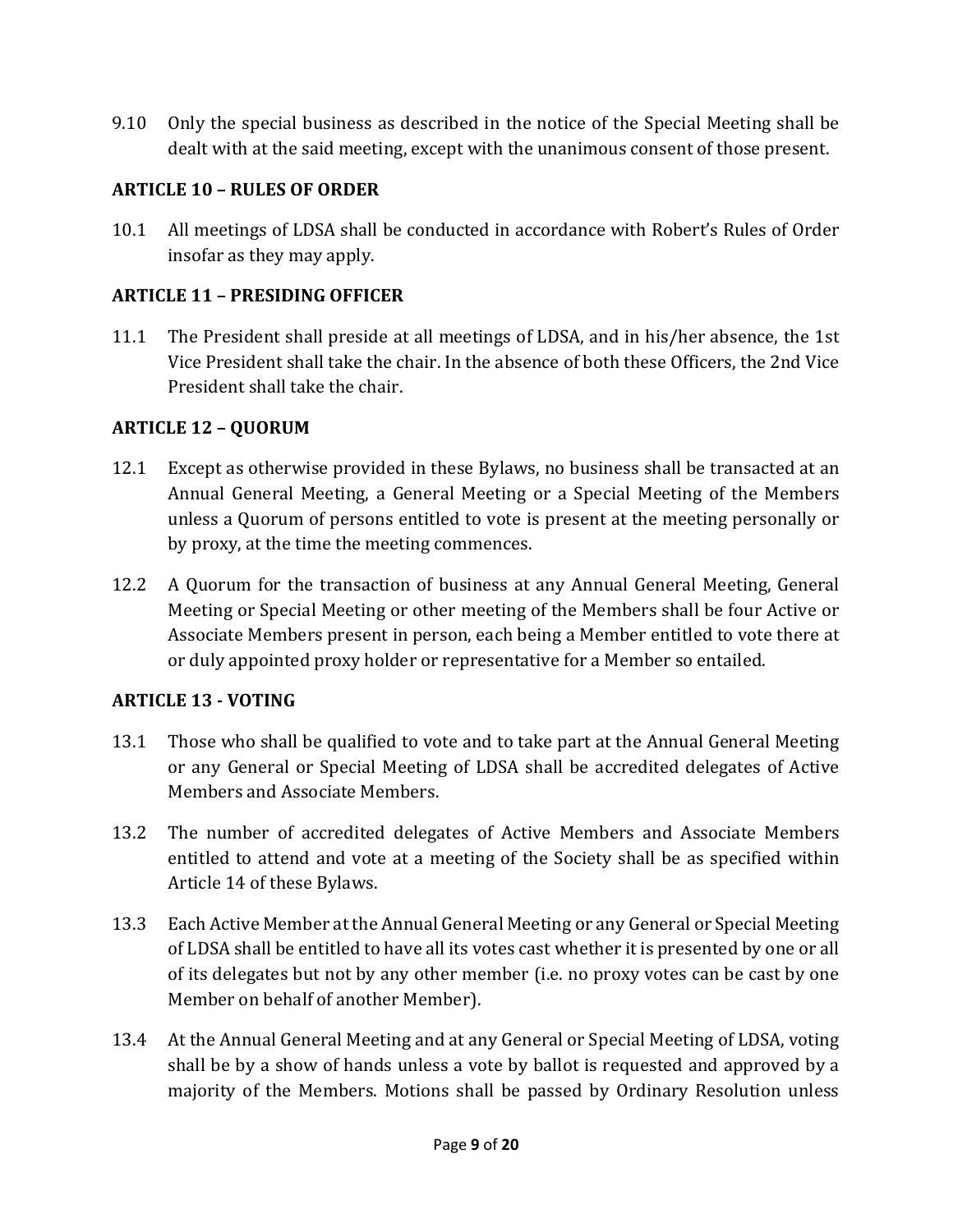9.10 Only the special business as described in the notice of the Special Meeting shall be dealt with at the said meeting, except with the unanimous consent of those present.

# ARTICLE 10 – RULES OF ORDER

10.1 All meetings of LDSA shall be conducted in accordance with Robert's Rules of Order insofar as they may apply.

# ARTICLE 11 – PRESIDING OFFICER

11.1 The President shall preside at all meetings of LDSA, and in his/her absence, the 1st Vice President shall take the chair. In the absence of both these Officers, the 2nd Vice President shall take the chair.

# ARTICLE 12 – QUORUM

- 12.1 Except as otherwise provided in these Bylaws, no business shall be transacted at an Annual General Meeting, a General Meeting or a Special Meeting of the Members unless a Quorum of persons entitled to vote is present at the meeting personally or by proxy, at the time the meeting commences.
- 12.2 A Quorum for the transaction of business at any Annual General Meeting, General Meeting or Special Meeting or other meeting of the Members shall be four Active or Associate Members present in person, each being a Member entitled to vote there at or duly appointed proxy holder or representative for a Member so entailed.

# ARTICLE 13 - VOTING

- 13.1 Those who shall be qualified to vote and to take part at the Annual General Meeting or any General or Special Meeting of LDSA shall be accredited delegates of Active Members and Associate Members.
- 13.2 The number of accredited delegates of Active Members and Associate Members entitled to attend and vote at a meeting of the Society shall be as specified within Article 14 of these Bylaws.
- 13.3 Each Active Member at the Annual General Meeting or any General or Special Meeting of LDSA shall be entitled to have all its votes cast whether it is presented by one or all of its delegates but not by any other member (i.e. no proxy votes can be cast by one Member on behalf of another Member).
- 13.4 At the Annual General Meeting and at any General or Special Meeting of LDSA, voting shall be by a show of hands unless a vote by ballot is requested and approved by a majority of the Members. Motions shall be passed by Ordinary Resolution unless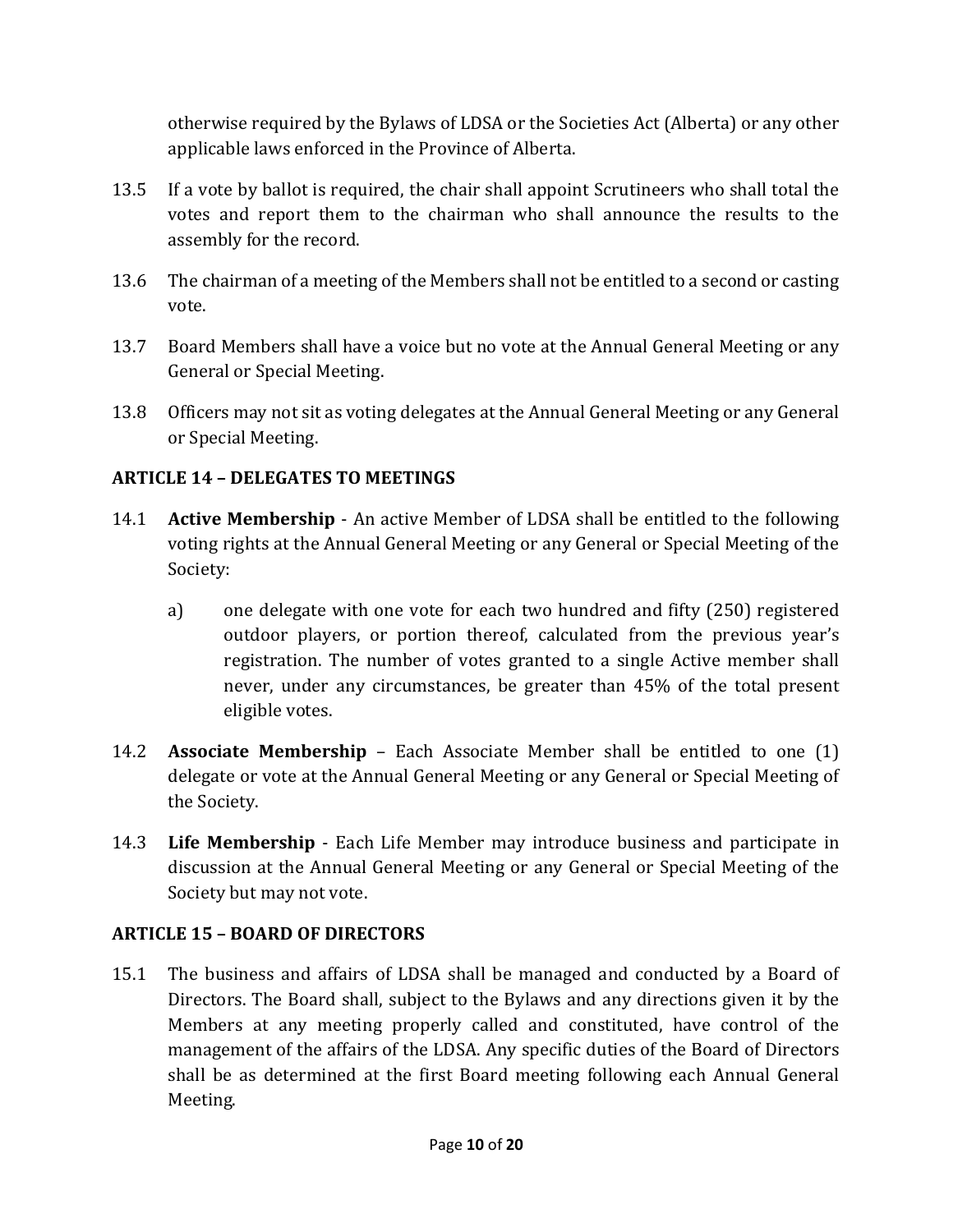otherwise required by the Bylaws of LDSA or the Societies Act (Alberta) or any other applicable laws enforced in the Province of Alberta.

- 13.5 If a vote by ballot is required, the chair shall appoint Scrutineers who shall total the votes and report them to the chairman who shall announce the results to the assembly for the record.
- 13.6 The chairman of a meeting of the Members shall not be entitled to a second or casting vote.
- 13.7 Board Members shall have a voice but no vote at the Annual General Meeting or any General or Special Meeting.
- 13.8 Officers may not sit as voting delegates at the Annual General Meeting or any General or Special Meeting.

# ARTICLE 14 – DELEGATES TO MEETINGS

- 14.1 Active Membership An active Member of LDSA shall be entitled to the following voting rights at the Annual General Meeting or any General or Special Meeting of the Society:
	- a) one delegate with one vote for each two hundred and fifty (250) registered outdoor players, or portion thereof, calculated from the previous year's registration. The number of votes granted to a single Active member shall never, under any circumstances, be greater than 45% of the total present eligible votes.
- 14.2 Associate Membership Each Associate Member shall be entitled to one (1) delegate or vote at the Annual General Meeting or any General or Special Meeting of the Society.
- 14.3 Life Membership Each Life Member may introduce business and participate in discussion at the Annual General Meeting or any General or Special Meeting of the Society but may not vote.

#### ARTICLE 15 – BOARD OF DIRECTORS

15.1 The business and affairs of LDSA shall be managed and conducted by a Board of Directors. The Board shall, subject to the Bylaws and any directions given it by the Members at any meeting properly called and constituted, have control of the management of the affairs of the LDSA. Any specific duties of the Board of Directors shall be as determined at the first Board meeting following each Annual General Meeting.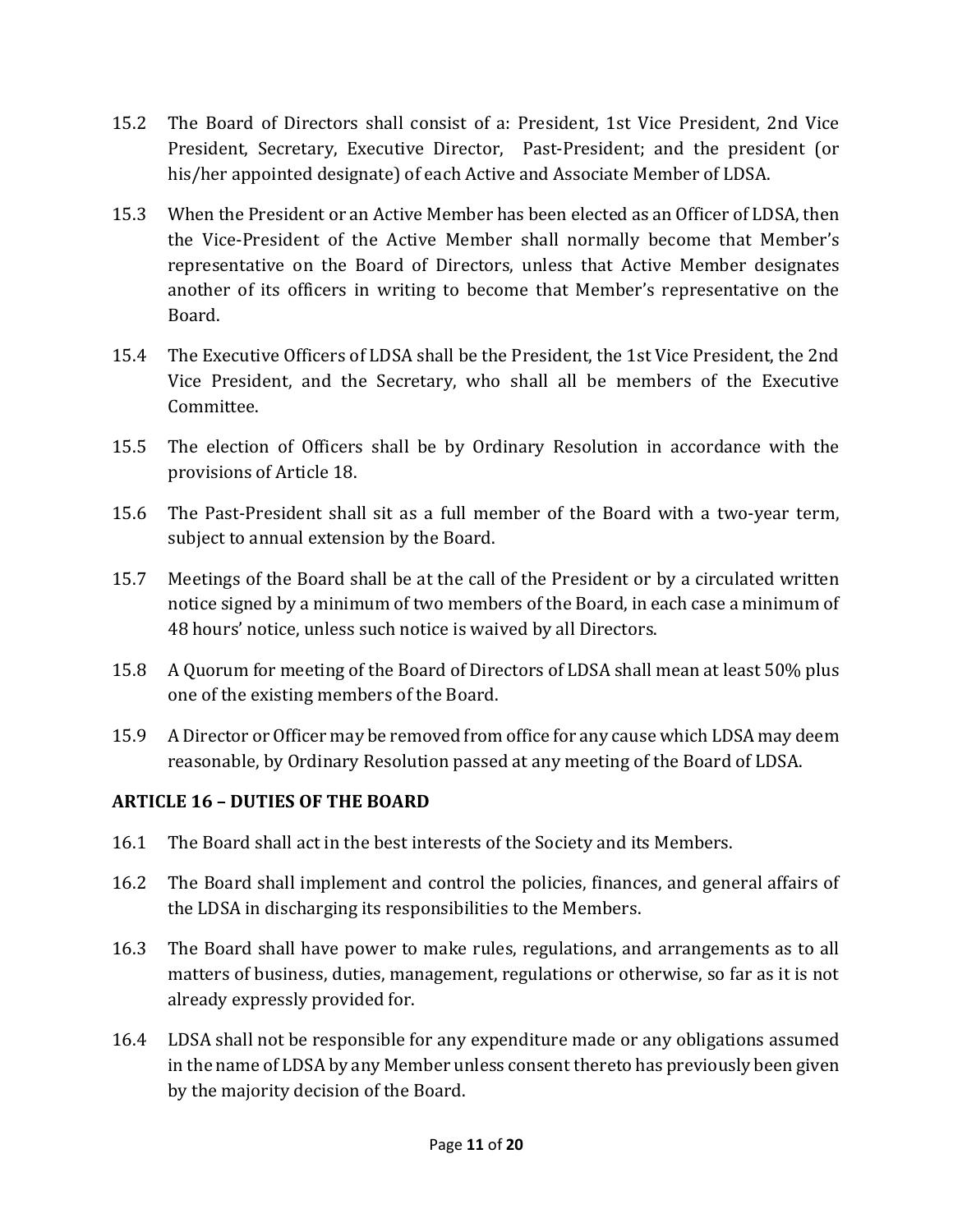- 15.2 The Board of Directors shall consist of a: President, 1st Vice President, 2nd Vice President, Secretary, Executive Director, Past-President; and the president (or his/her appointed designate) of each Active and Associate Member of LDSA.
- 15.3 When the President or an Active Member has been elected as an Officer of LDSA, then the Vice-President of the Active Member shall normally become that Member's representative on the Board of Directors, unless that Active Member designates another of its officers in writing to become that Member's representative on the Board.
- 15.4 The Executive Officers of LDSA shall be the President, the 1st Vice President, the 2nd Vice President, and the Secretary, who shall all be members of the Executive Committee.
- 15.5 The election of Officers shall be by Ordinary Resolution in accordance with the provisions of Article 18.
- 15.6 The Past-President shall sit as a full member of the Board with a two-year term, subject to annual extension by the Board.
- 15.7 Meetings of the Board shall be at the call of the President or by a circulated written notice signed by a minimum of two members of the Board, in each case a minimum of 48 hours' notice, unless such notice is waived by all Directors.
- 15.8 A Quorum for meeting of the Board of Directors of LDSA shall mean at least 50% plus one of the existing members of the Board.
- 15.9 A Director or Officer may be removed from office for any cause which LDSA may deem reasonable, by Ordinary Resolution passed at any meeting of the Board of LDSA.

#### ARTICLE 16 – DUTIES OF THE BOARD

- 16.1 The Board shall act in the best interests of the Society and its Members.
- 16.2 The Board shall implement and control the policies, finances, and general affairs of the LDSA in discharging its responsibilities to the Members.
- 16.3 The Board shall have power to make rules, regulations, and arrangements as to all matters of business, duties, management, regulations or otherwise, so far as it is not already expressly provided for.
- 16.4 LDSA shall not be responsible for any expenditure made or any obligations assumed in the name of LDSA by any Member unless consent thereto has previously been given by the majority decision of the Board.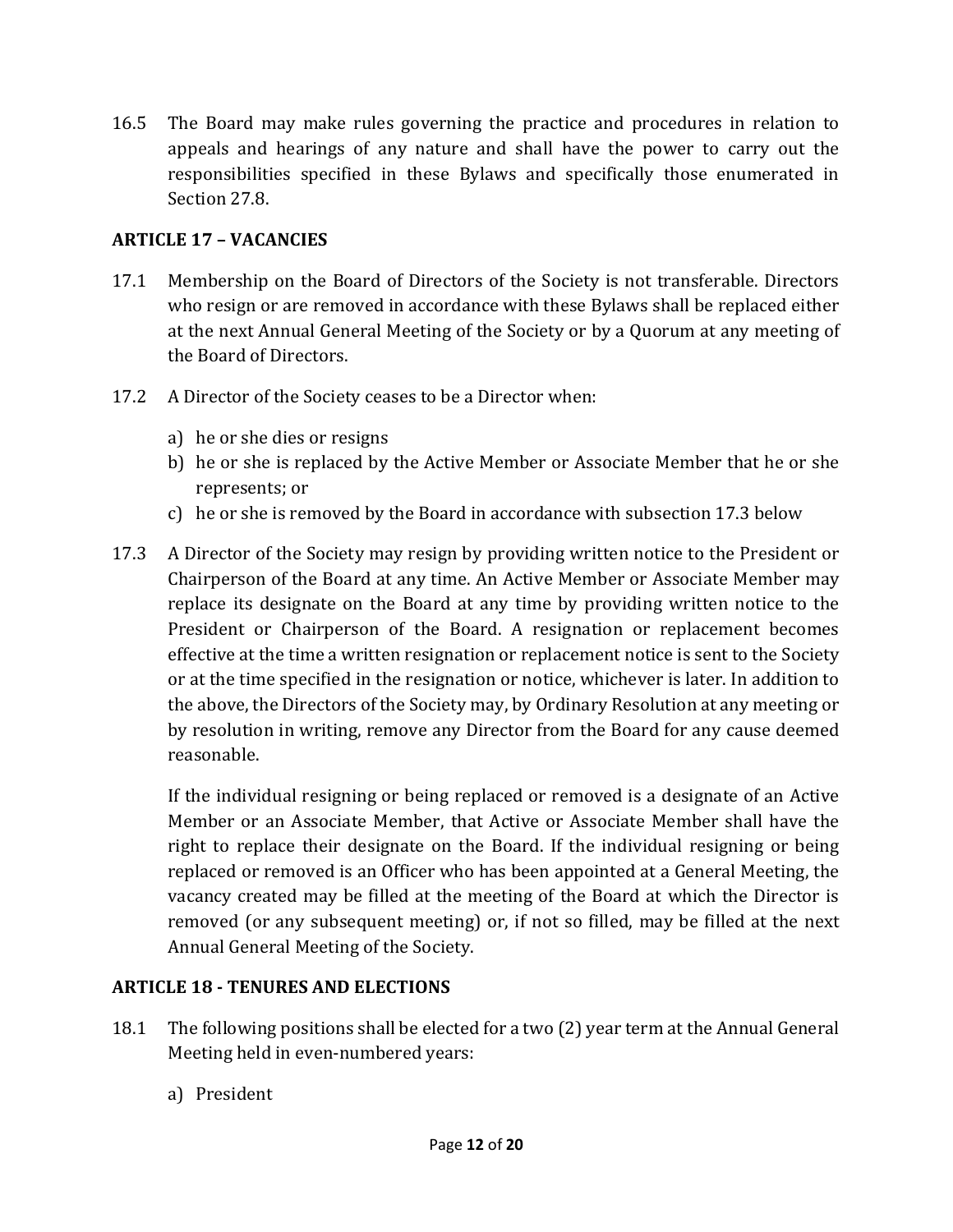16.5 The Board may make rules governing the practice and procedures in relation to appeals and hearings of any nature and shall have the power to carry out the responsibilities specified in these Bylaws and specifically those enumerated in Section 27.8.

# ARTICLE 17 – VACANCIES

- 17.1 Membership on the Board of Directors of the Society is not transferable. Directors who resign or are removed in accordance with these Bylaws shall be replaced either at the next Annual General Meeting of the Society or by a Quorum at any meeting of the Board of Directors.
- 17.2 A Director of the Society ceases to be a Director when:
	- a) he or she dies or resigns
	- b) he or she is replaced by the Active Member or Associate Member that he or she represents; or
	- c) he or she is removed by the Board in accordance with subsection 17.3 below
- 17.3 A Director of the Society may resign by providing written notice to the President or Chairperson of the Board at any time. An Active Member or Associate Member may replace its designate on the Board at any time by providing written notice to the President or Chairperson of the Board. A resignation or replacement becomes effective at the time a written resignation or replacement notice is sent to the Society or at the time specified in the resignation or notice, whichever is later. In addition to the above, the Directors of the Society may, by Ordinary Resolution at any meeting or by resolution in writing, remove any Director from the Board for any cause deemed reasonable.

If the individual resigning or being replaced or removed is a designate of an Active Member or an Associate Member, that Active or Associate Member shall have the right to replace their designate on the Board. If the individual resigning or being replaced or removed is an Officer who has been appointed at a General Meeting, the vacancy created may be filled at the meeting of the Board at which the Director is removed (or any subsequent meeting) or, if not so filled, may be filled at the next Annual General Meeting of the Society.

#### ARTICLE 18 - TENURES AND ELECTIONS

- 18.1 The following positions shall be elected for a two (2) year term at the Annual General Meeting held in even-numbered years:
	- a) President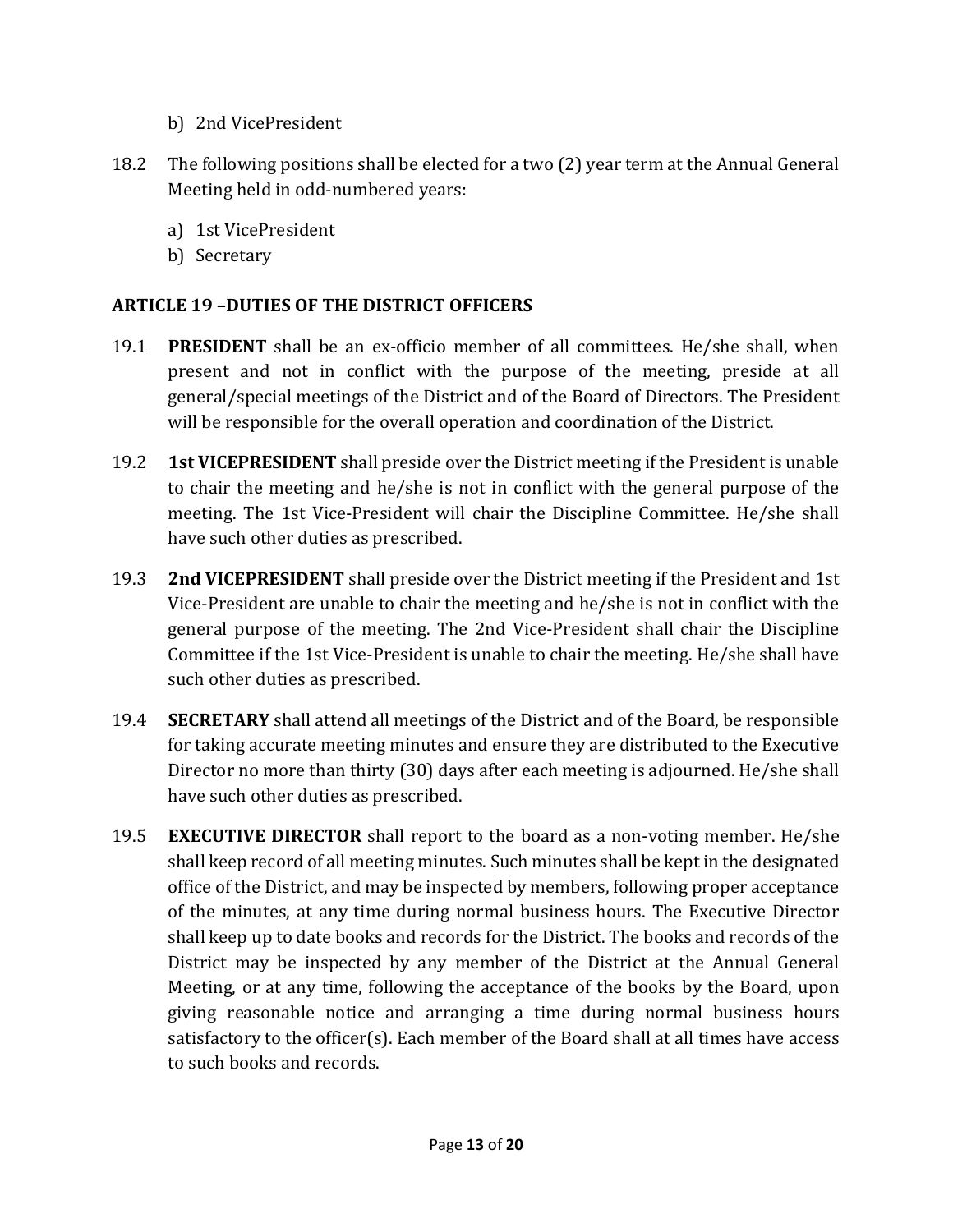- b) 2nd VicePresident
- 18.2 The following positions shall be elected for a two (2) year term at the Annual General Meeting held in odd-numbered years:
	- a) 1st VicePresident
	- b) Secretary

#### ARTICLE 19 –DUTIES OF THE DISTRICT OFFICERS

- 19.1 PRESIDENT shall be an ex-officio member of all committees. He/she shall, when present and not in conflict with the purpose of the meeting, preside at all general/special meetings of the District and of the Board of Directors. The President will be responsible for the overall operation and coordination of the District.
- 19.2 **1st VICEPRESIDENT** shall preside over the District meeting if the President is unable to chair the meeting and he/she is not in conflict with the general purpose of the meeting. The 1st Vice-President will chair the Discipline Committee. He/she shall have such other duties as prescribed.
- 19.3 2nd VICEPRESIDENT shall preside over the District meeting if the President and 1st Vice-President are unable to chair the meeting and he/she is not in conflict with the general purpose of the meeting. The 2nd Vice-President shall chair the Discipline Committee if the 1st Vice-President is unable to chair the meeting. He/she shall have such other duties as prescribed.
- 19.4 SECRETARY shall attend all meetings of the District and of the Board, be responsible for taking accurate meeting minutes and ensure they are distributed to the Executive Director no more than thirty (30) days after each meeting is adjourned. He/she shall have such other duties as prescribed.
- 19.5 **EXECUTIVE DIRECTOR** shall report to the board as a non-voting member. He/she shall keep record of all meeting minutes. Such minutes shall be kept in the designated office of the District, and may be inspected by members, following proper acceptance of the minutes, at any time during normal business hours. The Executive Director shall keep up to date books and records for the District. The books and records of the District may be inspected by any member of the District at the Annual General Meeting, or at any time, following the acceptance of the books by the Board, upon giving reasonable notice and arranging a time during normal business hours satisfactory to the officer(s). Each member of the Board shall at all times have access to such books and records.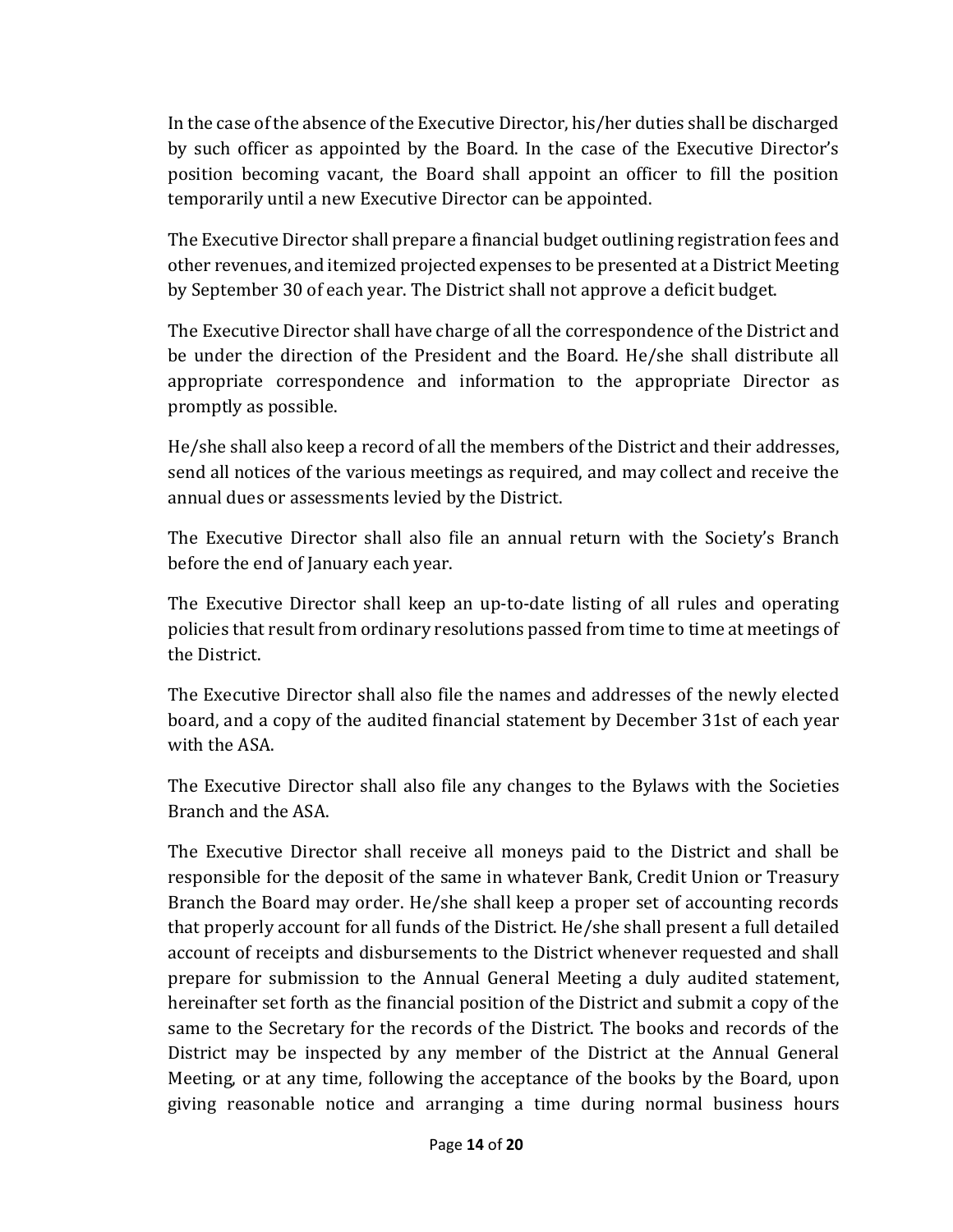In the case of the absence of the Executive Director, his/her duties shall be discharged by such officer as appointed by the Board. In the case of the Executive Director's position becoming vacant, the Board shall appoint an officer to fill the position temporarily until a new Executive Director can be appointed.

The Executive Director shall prepare a financial budget outlining registration fees and other revenues, and itemized projected expenses to be presented at a District Meeting by September 30 of each year. The District shall not approve a deficit budget.

The Executive Director shall have charge of all the correspondence of the District and be under the direction of the President and the Board. He/she shall distribute all appropriate correspondence and information to the appropriate Director as promptly as possible.

He/she shall also keep a record of all the members of the District and their addresses, send all notices of the various meetings as required, and may collect and receive the annual dues or assessments levied by the District.

The Executive Director shall also file an annual return with the Society's Branch before the end of January each year.

The Executive Director shall keep an up-to-date listing of all rules and operating policies that result from ordinary resolutions passed from time to time at meetings of the District.

The Executive Director shall also file the names and addresses of the newly elected board, and a copy of the audited financial statement by December 31st of each year with the ASA.

The Executive Director shall also file any changes to the Bylaws with the Societies Branch and the ASA.

The Executive Director shall receive all moneys paid to the District and shall be responsible for the deposit of the same in whatever Bank, Credit Union or Treasury Branch the Board may order. He/she shall keep a proper set of accounting records that properly account for all funds of the District. He/she shall present a full detailed account of receipts and disbursements to the District whenever requested and shall prepare for submission to the Annual General Meeting a duly audited statement, hereinafter set forth as the financial position of the District and submit a copy of the same to the Secretary for the records of the District. The books and records of the District may be inspected by any member of the District at the Annual General Meeting, or at any time, following the acceptance of the books by the Board, upon giving reasonable notice and arranging a time during normal business hours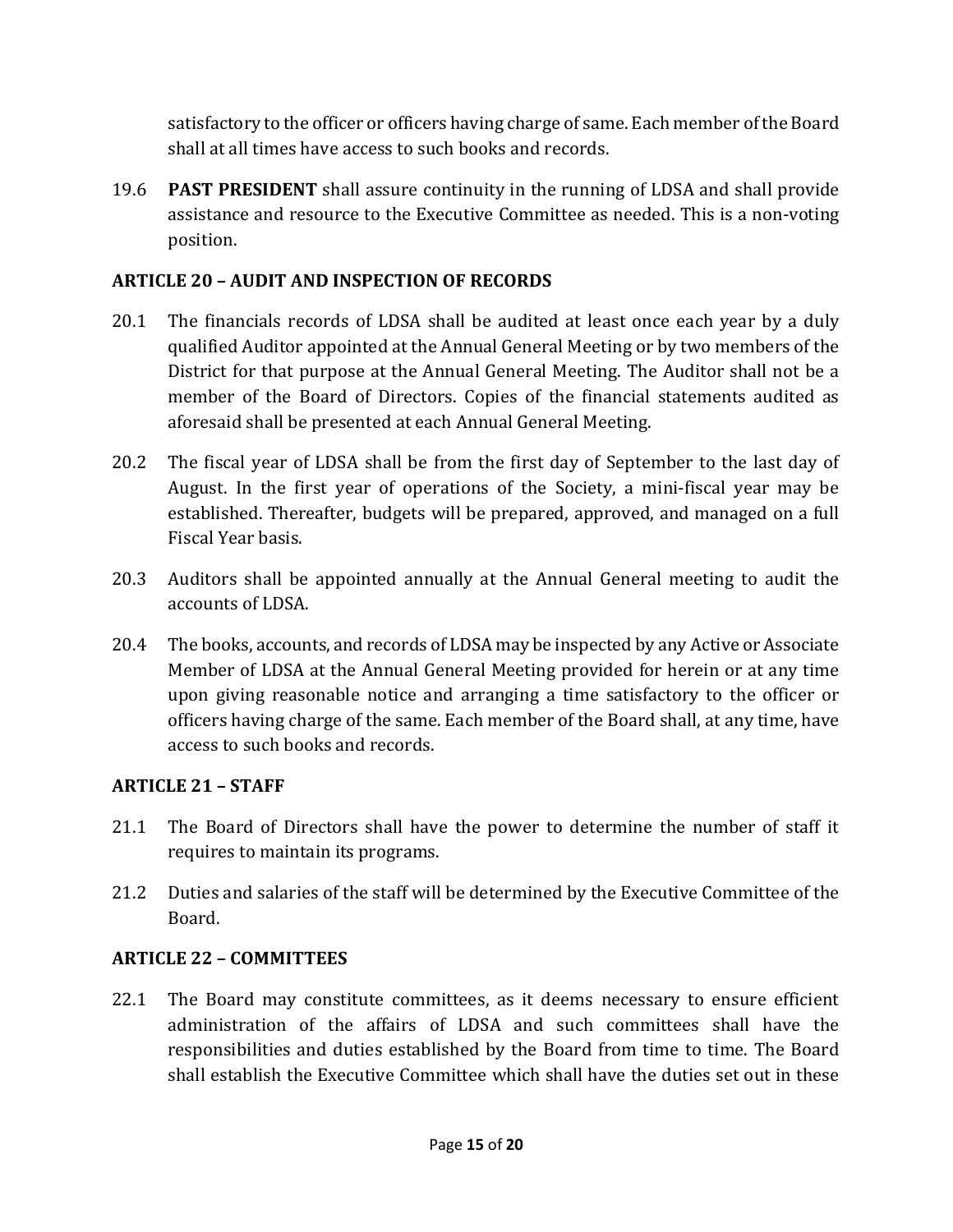satisfactory to the officer or officers having charge of same. Each member of the Board shall at all times have access to such books and records.

19.6 **PAST PRESIDENT** shall assure continuity in the running of LDSA and shall provide assistance and resource to the Executive Committee as needed. This is a non-voting position.

# ARTICLE 20 – AUDIT AND INSPECTION OF RECORDS

- 20.1 The financials records of LDSA shall be audited at least once each year by a duly qualified Auditor appointed at the Annual General Meeting or by two members of the District for that purpose at the Annual General Meeting. The Auditor shall not be a member of the Board of Directors. Copies of the financial statements audited as aforesaid shall be presented at each Annual General Meeting.
- 20.2 The fiscal year of LDSA shall be from the first day of September to the last day of August. In the first year of operations of the Society, a mini-fiscal year may be established. Thereafter, budgets will be prepared, approved, and managed on a full Fiscal Year basis.
- 20.3 Auditors shall be appointed annually at the Annual General meeting to audit the accounts of LDSA.
- 20.4 The books, accounts, and records of LDSA may be inspected by any Active or Associate Member of LDSA at the Annual General Meeting provided for herein or at any time upon giving reasonable notice and arranging a time satisfactory to the officer or officers having charge of the same. Each member of the Board shall, at any time, have access to such books and records.

#### ARTICLE 21 – STAFF

- 21.1 The Board of Directors shall have the power to determine the number of staff it requires to maintain its programs.
- 21.2 Duties and salaries of the staff will be determined by the Executive Committee of the Board.

# ARTICLE 22 – COMMITTEES

22.1 The Board may constitute committees, as it deems necessary to ensure efficient administration of the affairs of LDSA and such committees shall have the responsibilities and duties established by the Board from time to time. The Board shall establish the Executive Committee which shall have the duties set out in these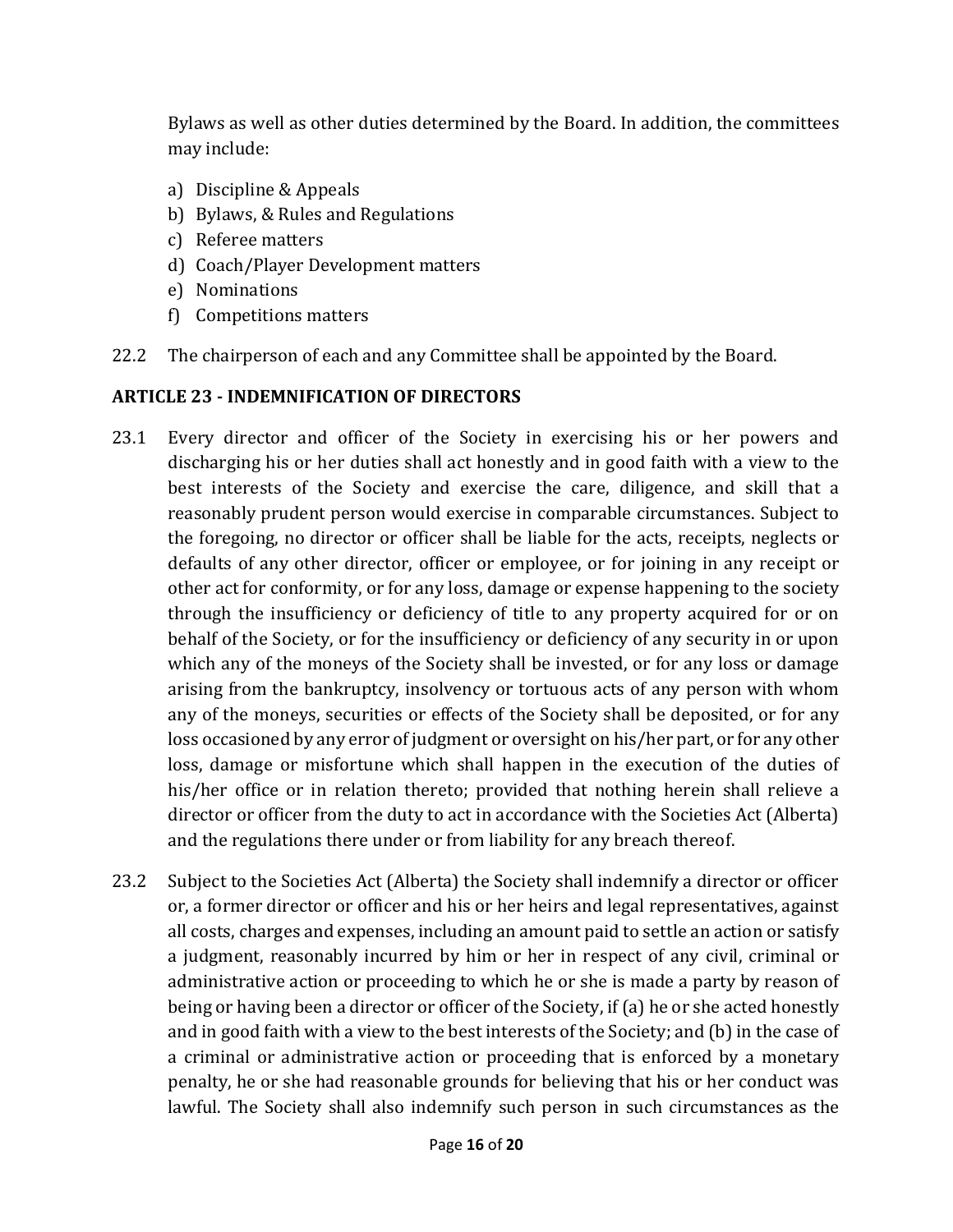Bylaws as well as other duties determined by the Board. In addition, the committees may include:

- a) Discipline & Appeals
- b) Bylaws, & Rules and Regulations
- c) Referee matters
- d) Coach/Player Development matters
- e) Nominations
- f) Competitions matters
- 22.2 The chairperson of each and any Committee shall be appointed by the Board.

#### ARTICLE 23 - INDEMNIFICATION OF DIRECTORS

- 23.1 Every director and officer of the Society in exercising his or her powers and discharging his or her duties shall act honestly and in good faith with a view to the best interests of the Society and exercise the care, diligence, and skill that a reasonably prudent person would exercise in comparable circumstances. Subject to the foregoing, no director or officer shall be liable for the acts, receipts, neglects or defaults of any other director, officer or employee, or for joining in any receipt or other act for conformity, or for any loss, damage or expense happening to the society through the insufficiency or deficiency of title to any property acquired for or on behalf of the Society, or for the insufficiency or deficiency of any security in or upon which any of the moneys of the Society shall be invested, or for any loss or damage arising from the bankruptcy, insolvency or tortuous acts of any person with whom any of the moneys, securities or effects of the Society shall be deposited, or for any loss occasioned by any error of judgment or oversight on his/her part, or for any other loss, damage or misfortune which shall happen in the execution of the duties of his/her office or in relation thereto; provided that nothing herein shall relieve a director or officer from the duty to act in accordance with the Societies Act (Alberta) and the regulations there under or from liability for any breach thereof.
- 23.2 Subject to the Societies Act (Alberta) the Society shall indemnify a director or officer or, a former director or officer and his or her heirs and legal representatives, against all costs, charges and expenses, including an amount paid to settle an action or satisfy a judgment, reasonably incurred by him or her in respect of any civil, criminal or administrative action or proceeding to which he or she is made a party by reason of being or having been a director or officer of the Society, if (a) he or she acted honestly and in good faith with a view to the best interests of the Society; and (b) in the case of a criminal or administrative action or proceeding that is enforced by a monetary penalty, he or she had reasonable grounds for believing that his or her conduct was lawful. The Society shall also indemnify such person in such circumstances as the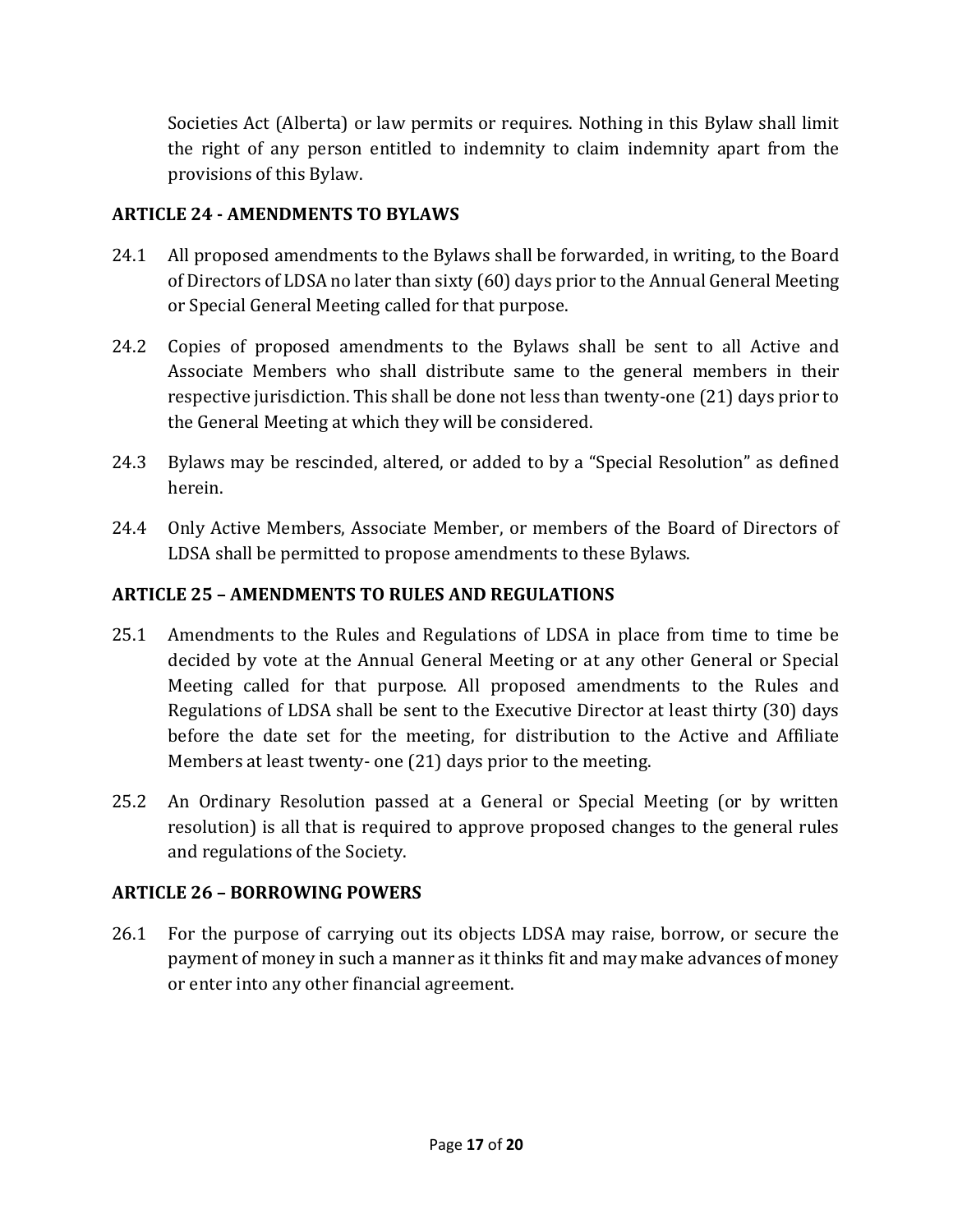Societies Act (Alberta) or law permits or requires. Nothing in this Bylaw shall limit the right of any person entitled to indemnity to claim indemnity apart from the provisions of this Bylaw.

# ARTICLE 24 - AMENDMENTS TO BYLAWS

- 24.1 All proposed amendments to the Bylaws shall be forwarded, in writing, to the Board of Directors of LDSA no later than sixty (60) days prior to the Annual General Meeting or Special General Meeting called for that purpose.
- 24.2 Copies of proposed amendments to the Bylaws shall be sent to all Active and Associate Members who shall distribute same to the general members in their respective jurisdiction. This shall be done not less than twenty-one (21) days prior to the General Meeting at which they will be considered.
- 24.3 Bylaws may be rescinded, altered, or added to by a "Special Resolution" as defined herein.
- 24.4 Only Active Members, Associate Member, or members of the Board of Directors of LDSA shall be permitted to propose amendments to these Bylaws.

# ARTICLE 25 – AMENDMENTS TO RULES AND REGULATIONS

- 25.1 Amendments to the Rules and Regulations of LDSA in place from time to time be decided by vote at the Annual General Meeting or at any other General or Special Meeting called for that purpose. All proposed amendments to the Rules and Regulations of LDSA shall be sent to the Executive Director at least thirty (30) days before the date set for the meeting, for distribution to the Active and Affiliate Members at least twenty- one (21) days prior to the meeting.
- 25.2 An Ordinary Resolution passed at a General or Special Meeting (or by written resolution) is all that is required to approve proposed changes to the general rules and regulations of the Society.

# ARTICLE 26 – BORROWING POWERS

26.1 For the purpose of carrying out its objects LDSA may raise, borrow, or secure the payment of money in such a manner as it thinks fit and may make advances of money or enter into any other financial agreement.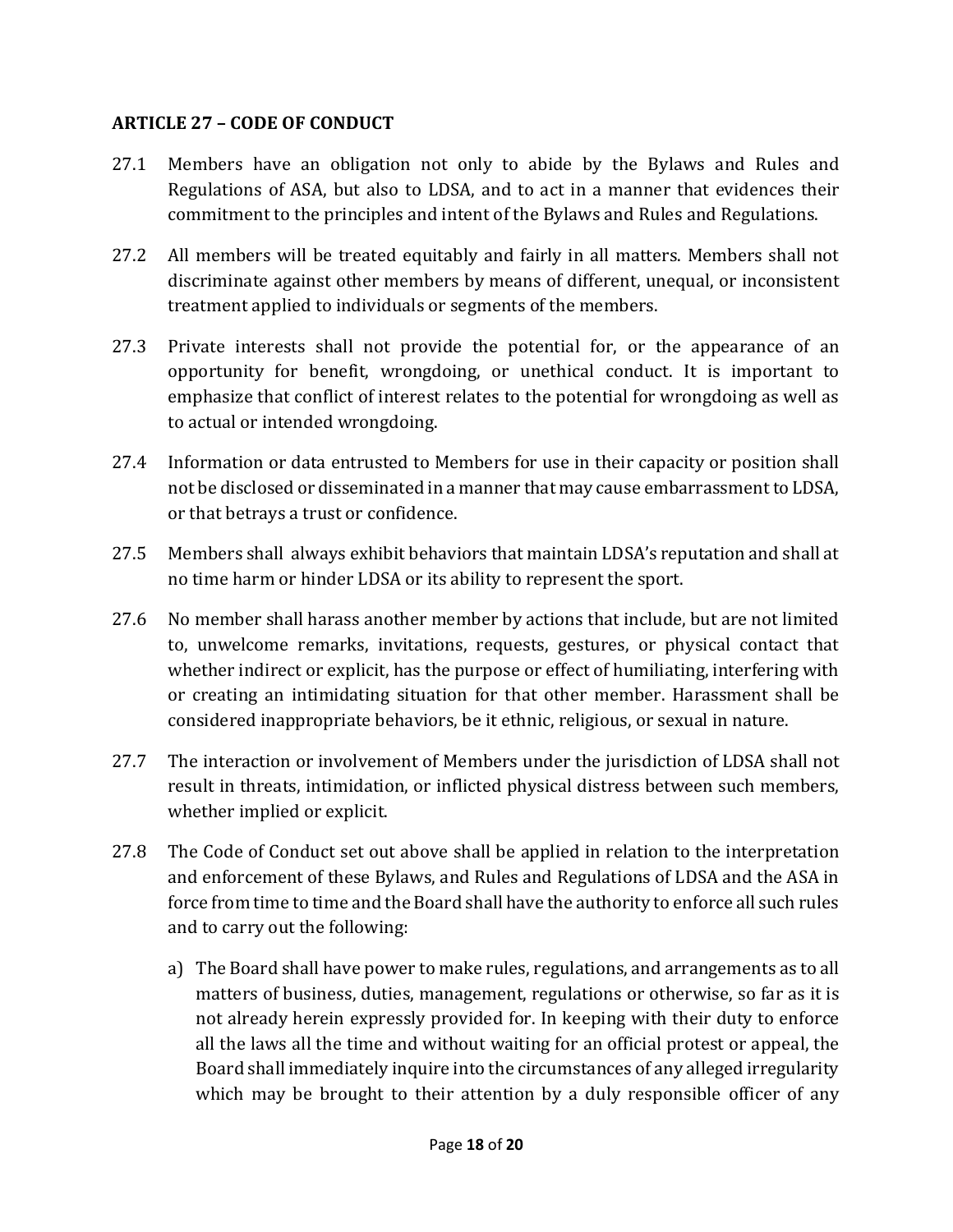#### ARTICLE 27 – CODE OF CONDUCT

- 27.1 Members have an obligation not only to abide by the Bylaws and Rules and Regulations of ASA, but also to LDSA, and to act in a manner that evidences their commitment to the principles and intent of the Bylaws and Rules and Regulations.
- 27.2 All members will be treated equitably and fairly in all matters. Members shall not discriminate against other members by means of different, unequal, or inconsistent treatment applied to individuals or segments of the members.
- 27.3 Private interests shall not provide the potential for, or the appearance of an opportunity for benefit, wrongdoing, or unethical conduct. It is important to emphasize that conflict of interest relates to the potential for wrongdoing as well as to actual or intended wrongdoing.
- 27.4 Information or data entrusted to Members for use in their capacity or position shall not be disclosed or disseminated in a manner that may cause embarrassment to LDSA, or that betrays a trust or confidence.
- 27.5 Members shall always exhibit behaviors that maintain LDSA's reputation and shall at no time harm or hinder LDSA or its ability to represent the sport.
- 27.6 No member shall harass another member by actions that include, but are not limited to, unwelcome remarks, invitations, requests, gestures, or physical contact that whether indirect or explicit, has the purpose or effect of humiliating, interfering with or creating an intimidating situation for that other member. Harassment shall be considered inappropriate behaviors, be it ethnic, religious, or sexual in nature.
- 27.7 The interaction or involvement of Members under the jurisdiction of LDSA shall not result in threats, intimidation, or inflicted physical distress between such members, whether implied or explicit.
- 27.8 The Code of Conduct set out above shall be applied in relation to the interpretation and enforcement of these Bylaws, and Rules and Regulations of LDSA and the ASA in force from time to time and the Board shall have the authority to enforce all such rules and to carry out the following:
	- a) The Board shall have power to make rules, regulations, and arrangements as to all matters of business, duties, management, regulations or otherwise, so far as it is not already herein expressly provided for. In keeping with their duty to enforce all the laws all the time and without waiting for an official protest or appeal, the Board shall immediately inquire into the circumstances of any alleged irregularity which may be brought to their attention by a duly responsible officer of any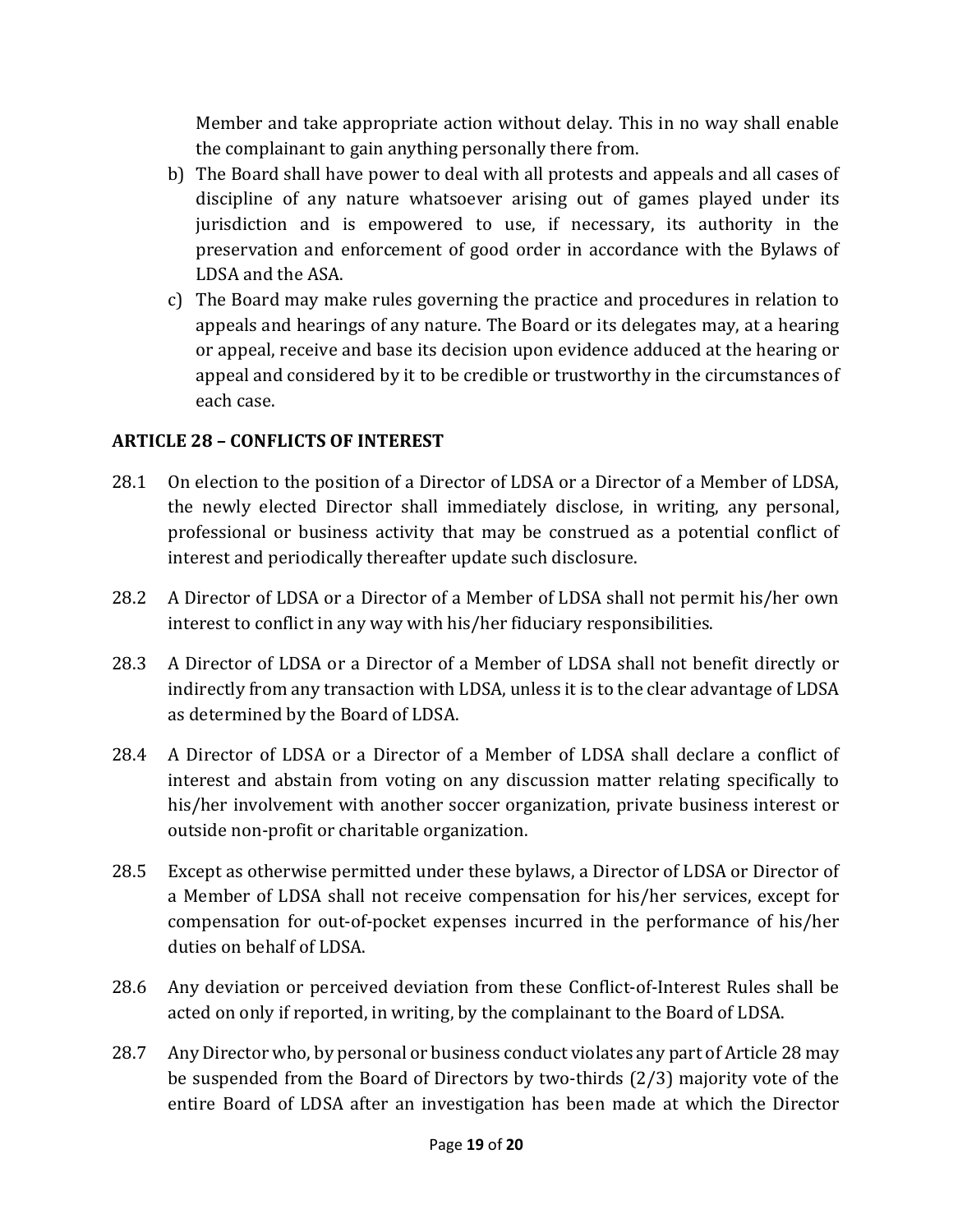Member and take appropriate action without delay. This in no way shall enable the complainant to gain anything personally there from.

- b) The Board shall have power to deal with all protests and appeals and all cases of discipline of any nature whatsoever arising out of games played under its jurisdiction and is empowered to use, if necessary, its authority in the preservation and enforcement of good order in accordance with the Bylaws of LDSA and the ASA.
- c) The Board may make rules governing the practice and procedures in relation to appeals and hearings of any nature. The Board or its delegates may, at a hearing or appeal, receive and base its decision upon evidence adduced at the hearing or appeal and considered by it to be credible or trustworthy in the circumstances of each case.

# ARTICLE 28 – CONFLICTS OF INTEREST

- 28.1 On election to the position of a Director of LDSA or a Director of a Member of LDSA, the newly elected Director shall immediately disclose, in writing, any personal, professional or business activity that may be construed as a potential conflict of interest and periodically thereafter update such disclosure.
- 28.2 A Director of LDSA or a Director of a Member of LDSA shall not permit his/her own interest to conflict in any way with his/her fiduciary responsibilities.
- 28.3 A Director of LDSA or a Director of a Member of LDSA shall not benefit directly or indirectly from any transaction with LDSA, unless it is to the clear advantage of LDSA as determined by the Board of LDSA.
- 28.4 A Director of LDSA or a Director of a Member of LDSA shall declare a conflict of interest and abstain from voting on any discussion matter relating specifically to his/her involvement with another soccer organization, private business interest or outside non-profit or charitable organization.
- 28.5 Except as otherwise permitted under these bylaws, a Director of LDSA or Director of a Member of LDSA shall not receive compensation for his/her services, except for compensation for out-of-pocket expenses incurred in the performance of his/her duties on behalf of LDSA.
- 28.6 Any deviation or perceived deviation from these Conflict-of-Interest Rules shall be acted on only if reported, in writing, by the complainant to the Board of LDSA.
- 28.7 Any Director who, by personal or business conduct violates any part of Article 28 may be suspended from the Board of Directors by two-thirds (2/3) majority vote of the entire Board of LDSA after an investigation has been made at which the Director